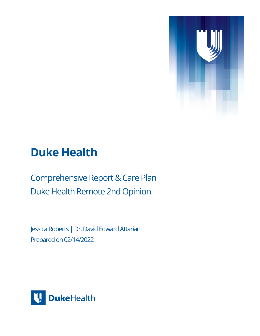

## **Duke Health**

Comprehensive Report & Care Plan Duke Health Remote 2nd Opinion

Jessica Roberts | Dr. David Edward Attarian Prepared on 02/14/2022

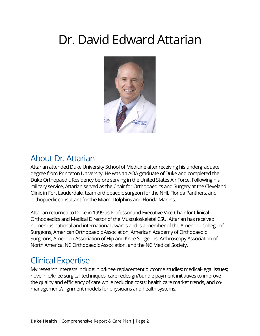# Dr. David Edward Attarian



### About Dr. Attarian

Attarian attended Duke University School of Medicine after receiving his undergraduate degree from Princeton University. He was an AOA graduate of Duke and completed the Duke Orthopaedic Residency before serving in the United States Air Force. Following his military service, Attarian served as the Chair for Orthopaedics and Surgery at the Cleveland Clinic in Fort Lauderdale, team orthopaedic surgeon for the NHL Florida Panthers, and orthopaedic consultant for the Miami Dolphins and Florida Marlins.

Attarian returned to Duke in 1999 as Professor and Executive Vice-Chair for Clinical Orthopaedics and Medical Director of the Musculoskeletal CSU. Attarian has received numerous national and international awards and is a member of the American College of Surgeons, American Orthopaedic Association, American Academy of Orthopaedic Surgeons, American Association of Hip and Knee Surgeons, Arthroscopy Association of North America, NC Orthopaedic Association, and the NC Medical Society.

## Clinical Expertise

My research interests include: hip/knee replacement outcome studies; medical-legal issues; novel hip/knee surgical techniques; care redesign/bundle payment initiatives to improve the quality and efficiency of care while reducing costs; health care market trends, and comanagement/alignment models for physicians and health systems.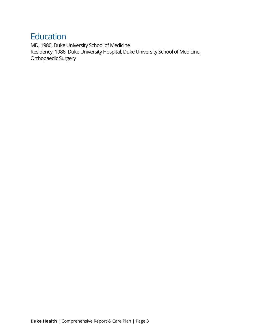### **Education**

MD, 1980, Duke University School of Medicine Residency, 1986, Duke University Hospital, Duke University School of Medicine, Orthopaedic Surgery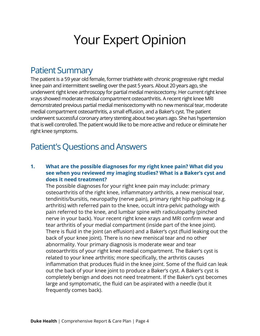# Your Expert Opinion

### Patient Summary

The patient is a 59 year old female, former triathlete with chronic progressive right medial knee pain and intermittent swelling over the past 5 years. About 20 years ago, she underwent right knee arthroscopy for partial medial meniscectomy. Her current right knee xrays showed moderate medial compartment osteoarthritis. A recent right knee MRI demonstrated previous partial medial meniscectomy with no new meniscal tear, moderate medial compartment osteoarthritis, a small effusion, and a Baker's cyst. The patient underwent successful coronary artery stenting about two years ago. She has hypertension that is well controlled. The patient would like to be more active and reduce or eliminate her right knee symptoms.

## Patient's Questions and Answers

#### **1. What are the possible diagnoses for my right knee pain? What did you see when you reviewed my imaging studies? What is a Baker's cyst and does it need treatment?**

The possible diagnoses for your right knee pain may include: primary osteoarthritis of the right knee, infammatory arthritis, a new meniscal tear, tendinitis/bursitis, neuropathy (nerve pain), primary right hip pathology (e.g. arthritis) with referred pain to the knee, occult intra-pelvic pathology with pain referred to the knee, and lumbar spine with radiculopathy (pinched nerve in your back). Your recent right knee xrays and MRI confrm wear and tear arthritis of your medial compartment (inside part of the knee joint). There is fuid in the joint (an efusion) and a Baker's cyst (fuid leaking out the back of your knee joint). There is no new meniscal tear and no other abnormality. Your primary diagnosis is moderate wear and tear osteoarthritis of your right knee medial compartment. The Baker's cyst is related to your knee arthritis; more specifcally, the arthritis causes infammation that produces fuid in the knee joint. Some of the fuid can leak out the back of your knee joint to produce a Baker's cyst. A Baker's cyst is completely benign and does not need treatment. If the Baker's cyst becomes large and symptomatic, the fuid can be aspirated with a needle (but it frequently comes back).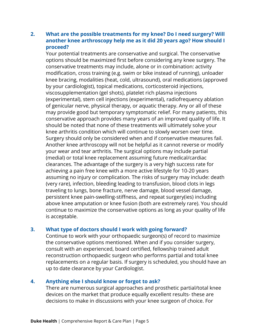#### **2. What are the possible treatments for my knee? Do I need surgery? Will another knee arthroscopy help me as it did 20 years ago? How should I proceed?**

Your potential treatments are conservative and surgical. The conservative options should be maximized frst before considering any knee surgery. The conservative treatments may include, alone or in combination: activity modifcation, cross training (e.g. swim or bike instead of running), unloader knee bracing, modalities (heat, cold, ultrasound), oral medications (approved by your cardiologist), topical medications, corticosteroid injections, viscosupplementation (gel shots), platelet rich plasma injections (experimental), stem cell injections (experimental), radiofrequency ablation of genicular nerve, physical therapy, or aquatic therapy. Any or all of these may provide good but temporary symptomatic relief. For many patients, this conservative approach provides many years of an improved quality of life. It should be noted that none of these treatments will ultimately solve your knee arthritis condition which will continue to slowly worsen over time. Surgery should only be considered when and if conservative measures fail. Another knee arthroscopy will not be helpful as it cannot reverse or modify your wear and tear arthritis. The surgical options may include partial (medial) or total knee replacement assuming future medical/cardiac clearances. The advantage of the surgery is a very high success rate for achieving a pain free knee with a more active lifestyle for 10-20 years assuming no injury or complication. The risks of surgery may include: death (very rare), infection, bleeding leading to transfusion, blood clots in legs traveling to lungs, bone fracture, nerve damage, blood vessel damage, persistent knee pain-swelling-stifness, and repeat surgery(ies) including above knee amputation or knee fusion (both are extremely rare). You should continue to maximize the conservative options as long as your quality of life is acceptable.

#### **3. What type of doctors should I work with going forward?**

Continue to work with your orthopaedic surgeon(s) of record to maximize the conservative options mentioned. When and if you consider surgery, consult with an experienced, board certifed, fellowship trained adult reconstruction orthopaedic surgeon who performs partial and total knee replacements on a regular basis. If surgery is scheduled, you should have an up to date clearance by your Cardiologist.

#### **4. Anything else I should know or forgot to ask?**

There are numerous surgical approaches and prosthetic partial/total knee devices on the market that produce equally excellent results- these are decisions to make in discussions with your knee surgeon of choice. For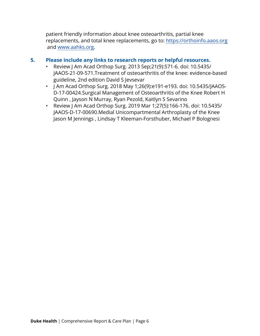patient friendly information about knee osteoarthritis, partial knee replacements, and total knee replacements, go to: [https://orthoinfo.aaos.org](https://orthoinfo.aaos.org/) and [www.aahks.org](http://www.aahks.org/).

#### **5. Please include any links to research reports or helpful resources.**

- Review J Am Acad Orthop Surg. 2013 Sep;21(9):571-6. doi: 10.5435/ JAAOS-21-09-571.Treatment of osteoarthritis of the knee: evidence-based guideline, 2nd edition David S Jevsevar
- J Am Acad Orthop Surg. 2018 May 1;26(9):e191-e193. doi: 10.5435/JAAOS-D-17-00424.Surgical Management of Osteoarthritis of the Knee Robert H Quinn , Jayson N Murray, Ryan Pezold, Kaitlyn S Sevarino
- Review J Am Acad Orthop Surg. 2019 Mar 1;27(5):166-176. doi: 10.5435/ JAAOS-D-17-00690.Medial Unicompartmental Arthroplasty of the Knee Jason M Jennings , Lindsay T Kleeman-Forsthuber, Michael P Bolognesi